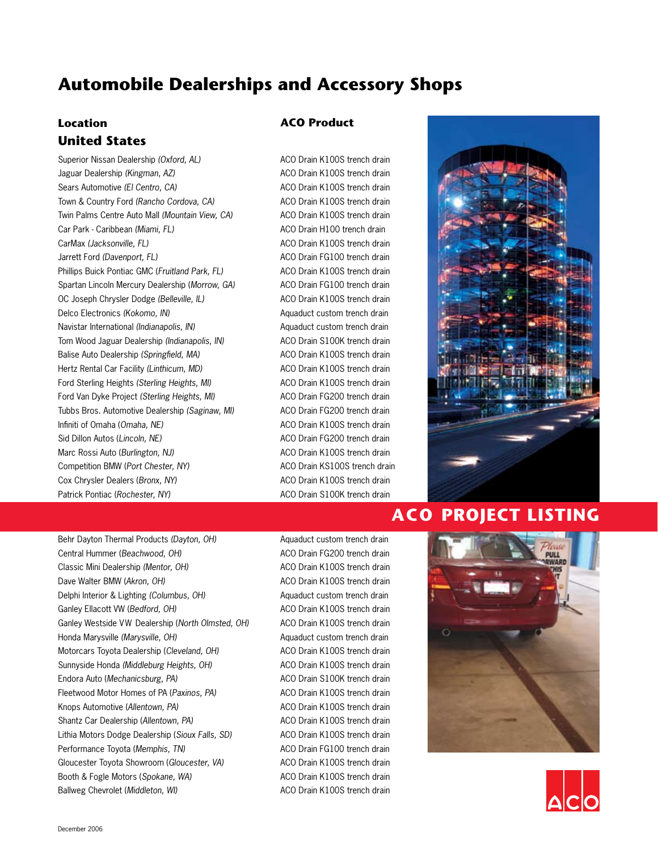## **Location United States**

Superior Nissan Dealership *(Oxford, AL)* Jaguar Dealership *(Kingman, AZ)* Sears Automotive *(El Centro, CA)* Town & Country Ford *(Rancho Cordova, CA)* Twin Palms Centre Auto Mall *(Mountain View, CA)* Car Park - Caribbean *(Miami, FL)* CarMax *(Jacksonville, FL)* Jarrett Ford *(Davenport, FL)* Phillips Buick Pontiac GMC (*Fruitland Park, FL)* Spartan Lincoln Mercury Dealership (*Morrow, GA)* OC Joseph Chrysler Dodge *(Belleville, IL)* Delco Electronics *(Kokomo, IN)* Navistar International *(Indianapolis, IN)* Tom Wood Jaguar Dealership *(Indianapolis, IN)* Balise Auto Dealership *(Springfield, MA)* Hertz Rental Car Facility *(Linthicum, MD)* Ford Sterling Heights *(Sterling Heights, MI)* Ford Van Dyke Project *(Sterling Heights, MI)* Tubbs Bros. Automotive Dealership *(Saginaw, MI)* Infiniti of Omaha (*Omaha, NE)* Sid Dillon Autos (*Lincoln, NE)* Marc Rossi Auto (*Burlington, NJ)* Competition BMW (*Port Chester, NY)* Cox Chrysler Dealers (*Bronx, NY)* Patrick Pontiac (*Rochester, NY)*

#### **ACO Product**

ACO Drain K100S trench drain ACO Drain K100S trench drain ACO Drain K100S trench drain ACO Drain K100S trench drain ACO Drain K100S trench drain ACO Drain H100 trench drain ACO Drain K100S trench drain ACO Drain FG100 trench drain ACO Drain K100S trench drain ACO Drain FG100 trench drain ACO Drain K100S trench drain Aquaduct custom trench drain Aquaduct custom trench drain ACO Drain S100K trench drain ACO Drain K100S trench drain ACO Drain K100S trench drain ACO Drain K100S trench drain ACO Drain FG200 trench drain ACO Drain FG200 trench drain ACO Drain K100S trench drain ACO Drain FG200 trench drain ACO Drain K100S trench drain ACO Drain KS100S trench drain ACO Drain K100S trench drain ACO Drain S100K trench drain



## **ACO PROJECT LISTING**

Behr Dayton Thermal Products *(Dayton, OH)* Central Hummer (*Beachwood, OH)* Classic Mini Dealership *(Mentor, OH)* Dave Walter BMW (*Akron, OH)* Delphi Interior & Lighting *(Columbus, OH)* Ganley Ellacott VW (*Bedford, OH)* Ganley Westside VW Dealership (*North Olmsted, OH)* Honda Marysville *(Marysville, OH)* Motorcars Toyota Dealership (*Cleveland, OH)* Sunnyside Honda *(Middleburg Heights, OH)* Endora Auto (*Mechanicsburg, PA)* Fleetwood Motor Homes of PA (*Paxinos, PA)* Knops Automotive (*Allentown, PA)* Shantz Car Dealership (*Allentown, PA)* Lithia Motors Dodge Dealership (*Sioux Falls, SD)* Performance Toyota (*Memphis, TN)* Gloucester Toyota Showroom (*Gloucester, VA)* Booth & Fogle Motors (*Spokane, WA)* Ballweg Chevrolet (*Middleton, WI)*

Aquaduct custom trench drain ACO Drain FG200 trench drain ACO Drain K100S trench drain ACO Drain K100S trench drain Aquaduct custom trench drain ACO Drain K100S trench drain ACO Drain K100S trench drain Aquaduct custom trench drain ACO Drain K100S trench drain ACO Drain K100S trench drain ACO Drain S100K trench drain ACO Drain K100S trench drain ACO Drain K100S trench drain ACO Drain K100S trench drain ACO Drain K100S trench drain ACO Drain FG100 trench drain ACO Drain K100S trench drain ACO Drain K100S trench drain ACO Drain K100S trench drain



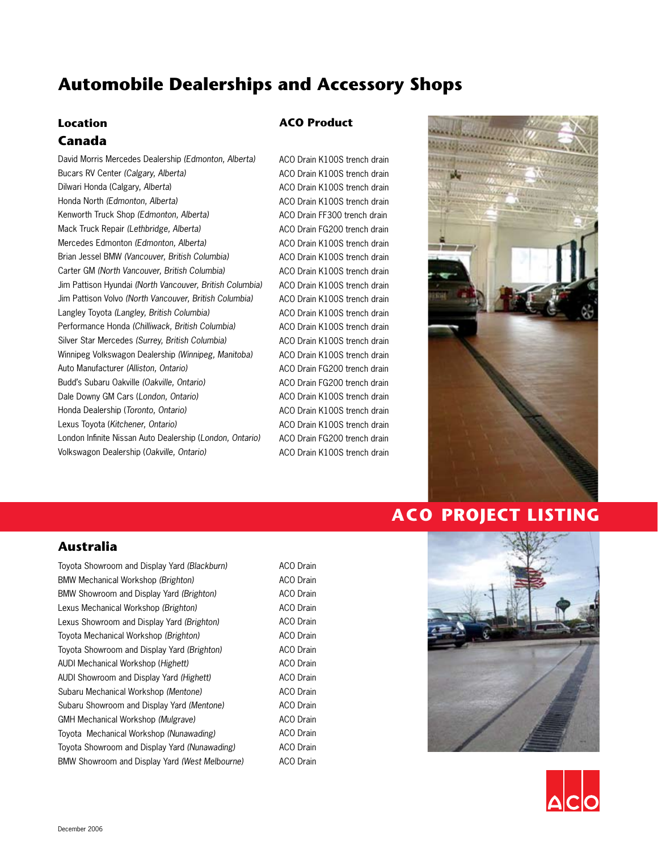#### **Location Canada**

David Morris Mercedes Dealership *(Edmonton, Alberta)* Bucars RV Center *(Calgary, Alberta)* Dilwari Honda (Calgary, *Alberta*) Honda North *(Edmonton, Alberta)* Kenworth Truck Shop *(Edmonton, Alberta)* Mack Truck Repair *(Lethbridge, Alberta)* Mercedes Edmonton *(Edmonton, Alberta)* Brian Jessel BMW *(Vancouver, British Columbia)* Carter GM *(North Vancouver, British Columbia)*  Jim Pattison Hyundai *(North Vancouver, British Columbia)*  Jim Pattison Volvo *(North Vancouver, British Columbia)*  Langley Toyota *(Langley, British Columbia)*  Performance Honda *(Chilliwack, British Columbia)* Silver Star Mercedes *(Surrey, British Columbia)* Winnipeg Volkswagon Dealership *(Winnipeg, Manitoba)* Auto Manufacturer *(Alliston, Ontario)* Budd's Subaru Oakville *(Oakville, Ontario)* Dale Downy GM Cars (*London, Ontario)* Honda Dealership (*Toronto, Ontario)* Lexus Toyota (*Kitchener, Ontario)* London Infinite Nissan Auto Dealership (*London, Ontario)* Volkswagon Dealership (*Oakville, Ontario)*

#### **ACO Product**

ACO Drain K100S trench drain ACO Drain K100S trench drain ACO Drain K100S trench drain ACO Drain K100S trench drain ACO Drain FF300 trench drain ACO Drain FG200 trench drain ACO Drain K100S trench drain ACO Drain K100S trench drain ACO Drain K100S trench drain ACO Drain K100S trench drain ACO Drain K100S trench drain ACO Drain K100S trench drain ACO Drain K100S trench drain ACO Drain K100S trench drain ACO Drain K100S trench drain ACO Drain FG200 trench drain ACO Drain FG200 trench drain ACO Drain K100S trench drain ACO Drain K100S trench drain ACO Drain K100S trench drain ACO Drain FG200 trench drain ACO Drain K100S trench drain



## **ACO PROJECT LISTING**

#### **Australia**

Toyota Showroom and Display Yard *(Blackburn)*  BMW Mechanical Workshop *(Brighton)* BMW Showroom and Display Yard *(Brighton)* Lexus Mechanical Workshop *(Brighton)* Lexus Showroom and Display Yard *(Brighton)* Toyota Mechanical Workshop *(Brighton)* Toyota Showroom and Display Yard *(Brighton)* AUDI Mechanical Workshop (*Highett)* AUDI Showroom and Display Yard *(Highett)* Subaru Mechanical Workshop *(Mentone)* Subaru Showroom and Display Yard *(Mentone)* GMH Mechanical Workshop *(Mulgrave)*  Toyota Mechanical Workshop *(Nunawading)* Toyota Showroom and Display Yard *(Nunawading)* BMW Showroom and Display Yard *(West Melbourne)* ACO Drain ACO Drain ACO Drain ACO Drain ACO Drain ACO Drain ACO Drain ACO Drain ACO Drain ACO Drain ACO Drain ACO Drain ACO Drain ACO Drain ACO Drain



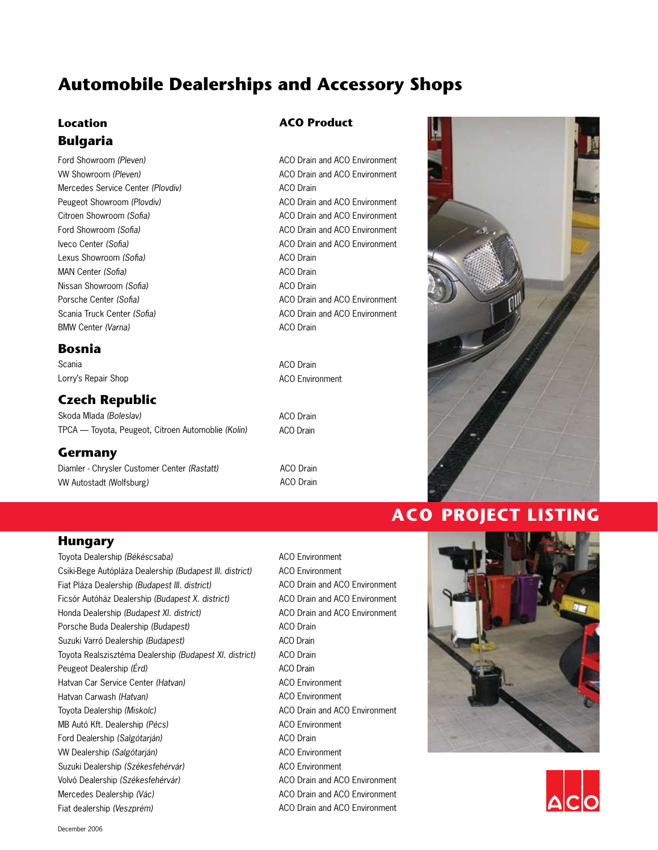## **Location Bulgaria**

Ford Showroom *(Pleven)* VW Showroom *(Pleven)* Mercedes Service Center *(Plovdiv)* Peugeot Showroom *(Plovdiv)* Citroen Showroom *(Sofia)* Ford Showroom *(Sofia)* Iveco Center *(Sofia)* Lexus Showroom *(Sofia)* MAN Center *(Sofia)* Nissan Showroom *(Sofia)* Porsche Center *(Sofia)* Scania Truck Center *(Sofia)* BMW Center *(Varna)*

#### **Bosnia**

Scania Lorry's Repair Shop

### **Czech Republic**

Skoda Mlada *(Boleslav)* TPCA — Toyota, Peugeot, Citroen Automoblie *(Kolin)*

#### **Germany**

Diamler - Chrysler Customer Center *(Rastatt)* VW Autostadt *(*Wolfsburg*)*

#### **ACO Product**

ACO Drain and ACO Environment ACO Drain and ACO Environment ACO Drain ACO Drain and ACO Environment ACO Drain and ACO Environment ACO Drain and ACO Environment ACO Drain and ACO Environment ACO Drain ACO Drain ACO Drain ACO Drain and ACO Environment ACO Drain and ACO Environment ACO Drain

ACO Drain ACO Environment

ACO Drain ACO Drain

ACO Drain ACO Drain



## **ACO PROJECT LISTING**

#### **Hungary**

Toyota Dealership *(Békéscsaba)* Csiki-Bege Autópláza Dealership *(Budapest III. district)* Fiat Pláza Dealership *(Budapest III. district)* Ficsór Autóház Dealership *(Budapest X. district)* Honda Dealership *(Budapest XI. district)* Porsche Buda Dealership *(Budapest)* Suzuki Varró Dealership *(Budapest)* Toyota Realszisztéma Dealership *(Budapest XI. district)* Peugeot Dealership *(Érd)* Hatvan Car Service Center *(Hatvan)* Hatvan Carwash *(Hatvan)* Toyota Dealership *(Miskolc)* MB Autó Kft. Dealership *(Pécs)* Ford Dealership *(Salgótarján)* VW Dealership *(Salgótarján)* Suzuki Dealership *(Székesfehérvár)* Volvó Dealership *(Székesfehérvár)* Mercedes Dealership *(Vác)* Fiat dealership *(Veszprém)*

ACO Environment ACO Environment ACO Drain and ACO Environment ACO Drain and ACO Environment ACO Drain and ACO Environment ACO Drain ACO Drain ACO Drain ACO Drain ACO Environment ACO Environment ACO Drain and ACO Environment ACO Environment ACO Drain ACO Environment ACO Environment ACO Drain and ACO Environment ACO Drain and ACO Environment ACO Drain and ACO Environment